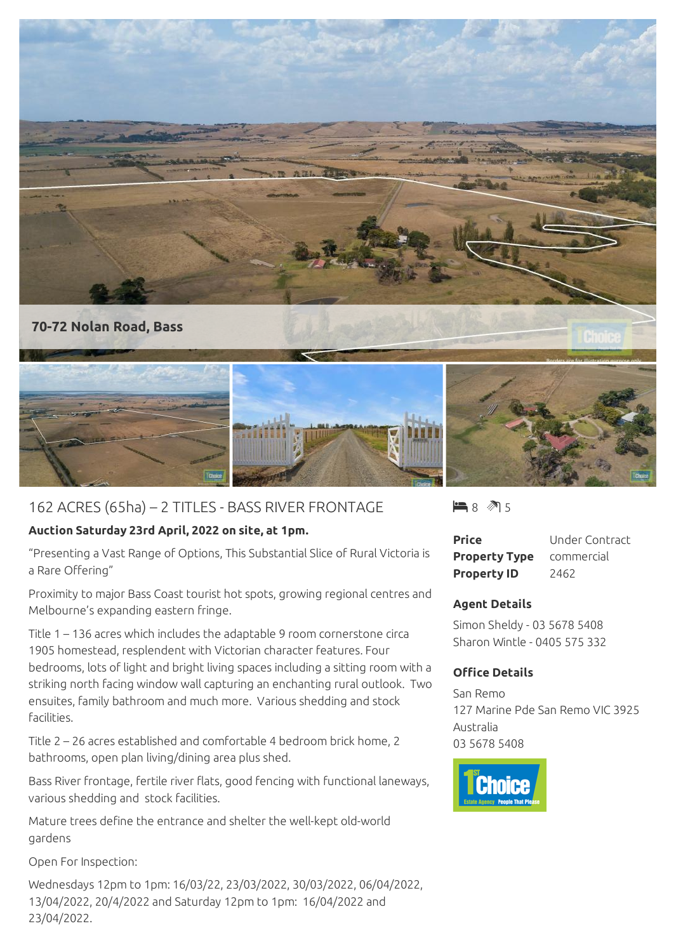

## 162 ACRES (65ha) – 2 TITLES - BASS RIVER FRONTAGE

## **Auction Saturday 23rd April, 2022 on site, at 1pm.**

"Presenting a Vast Range of Options, This Substantial Slice of Rural Victoria is a Rare Offering"

Proximity to major Bass Coast tourist hot spots, growing regional centres and Melbourne's expanding eastern fringe.

Title 1 – 136 acres which includes the adaptable 9 room cornerstone circa 1905 homestead, resplendent with Victorian character features. Four bedrooms, lots of light and bright living spaces including a sitting room with a striking north facing window wall capturing an enchanting rural outlook. Two ensuites, family bathroom and much more. Various shedding and stock facilities.

Title 2 – 26 acres established and comfortable 4 bedroom brick home, 2 bathrooms, open plan living/dining area plus shed.

Bass River frontage, fertile river flats, good fencing with functional laneways, various shedding and stock facilities.

Mature trees define the entrance and shelter the well-kept old-world gardens

Open For Inspection:

Wednesdays 12pm to 1pm: 16/03/22, 23/03/2022, 30/03/2022, 06/04/2022, 13/04/2022, 20/4/2022 and Saturday 12pm to 1pm: 16/04/2022 and 23/04/2022.

 $\blacksquare$  8  $\blacksquare$  5

| <b>Price</b>         | Under Contract |
|----------------------|----------------|
| <b>Property Type</b> | commercial     |
| <b>Property ID</b>   | 2462           |

## **Agent Details**

Simon Sheldy - 03 5678 5408 Sharon Wintle - 0405 575 332

## **Office Details**

San Remo 127 Marine Pde San Remo VIC 3925 Australia 03 5678 5408